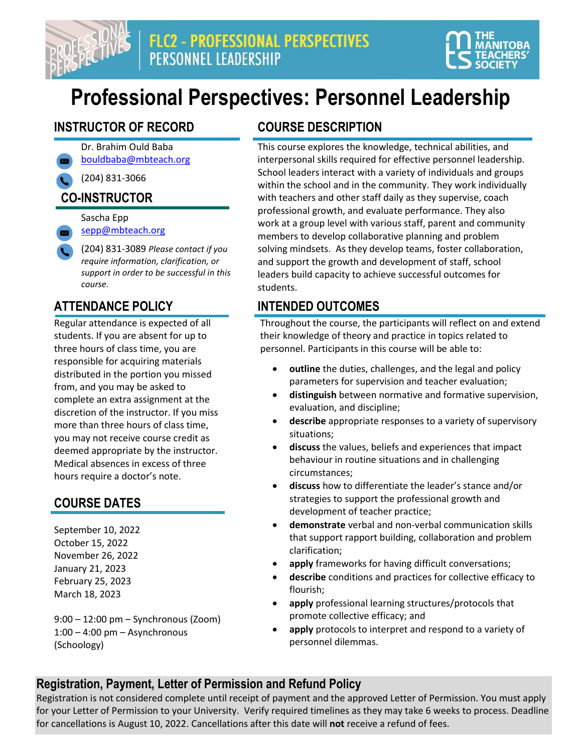



## **Professional Perspectives: Personnel Leadership**

#### **INSTRUCTOR OF RECORD COURSE DESCRIPTION**

Dr. Brahim Ould Baba [bouldbaba@mbteach.org](mailto:bouldbaba@mbteach.org)

(204) 831-3066

### **CO-INSTRUCTOR**

Sascha Epp [sepp@mbteach.org](mailto:sepp@mbteach.org)

(204) 831-3089 *Please contact if you require information, clarification, or support in order to be successful in this course.*

Regular attendance is expected of all students. If you are absent for up to three hours of class time, you are responsible for acquiring materials distributed in the portion you missed from, and you may be asked to complete an extra assignment at the discretion of the instructor. If you miss more than three hours of class time, you may not receive course credit as deemed appropriate by the instructor. Medical absences in excess of three hours require a doctor's note.

#### **COURSE DATES**

September 10, 2022 October 15, 2022 November 26, 2022 January 21, 2023 February 25, 2023 March 18, 2023

9:00 – 12:00 pm – Synchronous (Zoom)  $1:00 - 4:00$  pm  $-$  Asynchronous (Schoology)

This course explores the knowledge, technical abilities, and interpersonal skills required for effective personnel leadership. School leaders interact with a variety of individuals and groups within the school and in the community. They work individually with teachers and other staff daily as they supervise, coach professional growth, and evaluate performance. They also work at a group level with various staff, parent and community members to develop collaborative planning and problem solving mindsets. As they develop teams, foster collaboration, and support the growth and development of staff, school leaders build capacity to achieve successful outcomes for students.

#### **ATTENDANCE POLICY INTENDED OUTCOMES**

Throughout the course, the participants will reflect on and extend their knowledge of theory and practice in topics related to personnel. Participants in this course will be able to:

- **outline** the duties, challenges, and the legal and policy parameters for supervision and teacher evaluation;
- **distinguish** between normative and formative supervision, evaluation, and discipline;
- **describe** appropriate responses to a variety of supervisory situations;
- **discuss** the values, beliefs and experiences that impact behaviour in routine situations and in challenging circumstances;
- **discuss** how to differentiate the leader's stance and/or strategies to support the professional growth and development of teacher practice;
- **demonstrate** verbal and non-verbal communication skills that support rapport building, collaboration and problem clarification;
- apply frameworks for having difficult conversations;
- **describe** conditions and practices for collective efficacy to flourish;
- apply professional learning structures/protocols that promote collective efficacy; and
- apply protocols to interpret and respond to a variety of personnel dilemmas.

#### **Registration, Payment, Letter of Permission and Refund Policy**

Registration is not considered complete until receipt of payment and the approved Letter of Permission. You must apply for your Letter of Permission to your University. Verify required timelines as they may take 6 weeks to process. Deadline for cancellations is August 10, 2022. Cancellations after this date will **not** receive a refund of fees.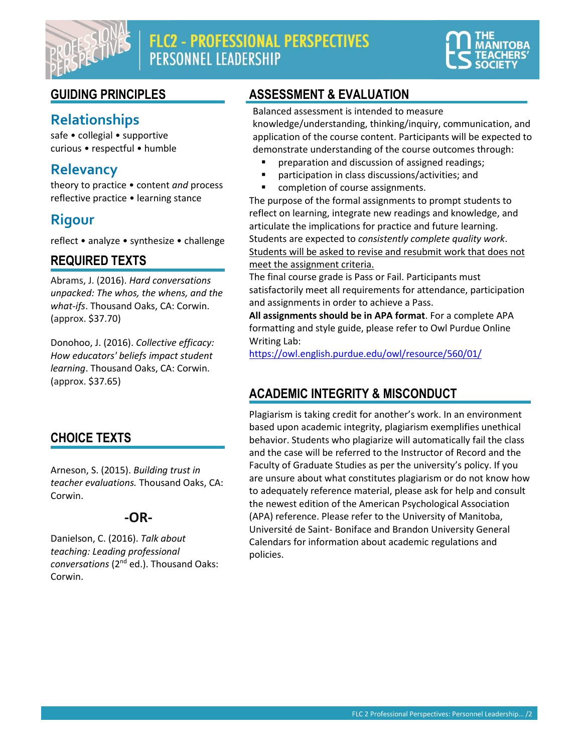

### FLC2 - PROFESSIONAL PERSPECTIVES **PERSONNEL LEADERSHIP**



### **Relationships**

safe • collegial • supportive curious • respectful • humble

#### **Relevancy**

theory to practice • content *and* process reflective practice • learning stance

### **Rigour**

reflect • analyze • synthesize • challenge

#### **REQUIRED TEXTS**

Abrams, J. (2016). *Hard conversations unpacked: The whos, the whens, and the what-ifs*. Thousand Oaks, CA: Corwin. (approx. \$37.70)

Donohoo, J. (2016). *Collective efficacy: How educators' beliefs impact student learning*. Thousand Oaks, CA: Corwin. (approx. \$37.65)

#### **CHOICE TEXTS**

Arneson, S. (2015). *Building trust in teacher evaluations.* Thousand Oaks, CA: Corwin.

#### **-OR-**

Danielson, C. (2016). *Talk about teaching: Leading professional conversations* (2nd ed.). Thousand Oaks: Corwin.

#### **GUIDING PRINCIPLES ASSESSMENT & EVALUATION**

Balanced assessment is intended to measure knowledge/understanding, thinking/inquiry, communication, and application of the course content. Participants will be expected to demonstrate understanding of the course outcomes through:

- preparation and discussion of assigned readings;
- participation in class discussions/activities; and
- completion of course assignments.

The purpose of the formal assignments to prompt students to reflect on learning, integrate new readings and knowledge, and articulate the implications for practice and future learning. Students are expected to *consistently complete quality work*. Students will be asked to revise and resubmit work that does not meet the assignment criteria.

The final course grade is Pass or Fail. Participants must satisfactorily meet all requirements for attendance, participation and assignments in order to achieve a Pass.

**All assignments should be in APA format**. For a complete APA formatting and style guide, please refer to Owl Purdue Online Writing Lab:

<https://owl.english.purdue.edu/owl/resource/560/01/>

#### **ACADEMIC INTEGRITY & MISCONDUCT**

Plagiarism is taking credit for another's work. In an environment based upon academic integrity, plagiarism exemplifies unethical behavior. Students who plagiarize will automatically fail the class and the case will be referred to the Instructor of Record and the Faculty of Graduate Studies as per the university's policy. If you are unsure about what constitutes plagiarism or do not know how to adequately reference material, please ask for help and consult the newest edition of the American Psychological Association (APA) reference. Please refer to the University of Manitoba, Université de Saint- Boniface and Brandon University General Calendars for information about academic regulations and policies.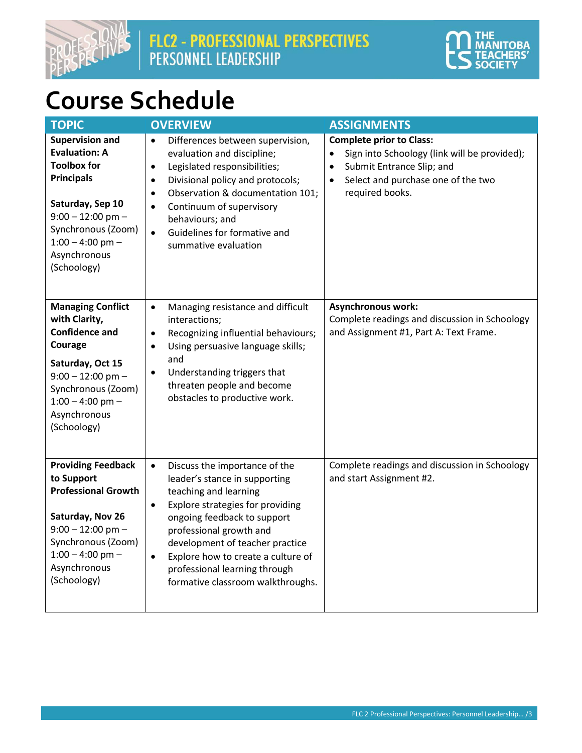



## **Course Schedule**

| <b>TOPIC</b>                                                                                                                                                                                                    | <b>OVERVIEW</b>                                                                                                                                                                                                                                                                                                                                                             | <b>ASSIGNMENTS</b>                                                                                                                                                                              |
|-----------------------------------------------------------------------------------------------------------------------------------------------------------------------------------------------------------------|-----------------------------------------------------------------------------------------------------------------------------------------------------------------------------------------------------------------------------------------------------------------------------------------------------------------------------------------------------------------------------|-------------------------------------------------------------------------------------------------------------------------------------------------------------------------------------------------|
| <b>Supervision and</b><br><b>Evaluation: A</b><br><b>Toolbox for</b><br><b>Principals</b><br>Saturday, Sep 10<br>$9:00 - 12:00$ pm -<br>Synchronous (Zoom)<br>$1:00 - 4:00$ pm -<br>Asynchronous<br>(Schoology) | Differences between supervision,<br>$\bullet$<br>evaluation and discipline;<br>Legislated responsibilities;<br>$\bullet$<br>Divisional policy and protocols;<br>$\bullet$<br>Observation & documentation 101;<br>$\bullet$<br>Continuum of supervisory<br>$\bullet$<br>behaviours; and<br>Guidelines for formative and<br>$\bullet$<br>summative evaluation                 | <b>Complete prior to Class:</b><br>Sign into Schoology (link will be provided);<br>Submit Entrance Slip; and<br>$\bullet$<br>Select and purchase one of the two<br>$\bullet$<br>required books. |
| <b>Managing Conflict</b><br>with Clarity,<br><b>Confidence and</b><br>Courage<br>Saturday, Oct 15<br>$9:00 - 12:00$ pm -<br>Synchronous (Zoom)<br>$1:00 - 4:00$ pm -<br>Asynchronous<br>(Schoology)             | Managing resistance and difficult<br>$\bullet$<br>interactions;<br>Recognizing influential behaviours;<br>$\bullet$<br>Using persuasive language skills;<br>$\bullet$<br>and<br>Understanding triggers that<br>$\bullet$<br>threaten people and become<br>obstacles to productive work.                                                                                     | <b>Asynchronous work:</b><br>Complete readings and discussion in Schoology<br>and Assignment #1, Part A: Text Frame.                                                                            |
| <b>Providing Feedback</b><br>to Support<br><b>Professional Growth</b><br>Saturday, Nov 26<br>$9:00 - 12:00$ pm -<br>Synchronous (Zoom)<br>$1:00 - 4:00$ pm -<br>Asynchronous<br>(Schoology)                     | Discuss the importance of the<br>$\bullet$<br>leader's stance in supporting<br>teaching and learning<br>Explore strategies for providing<br>$\bullet$<br>ongoing feedback to support<br>professional growth and<br>development of teacher practice<br>Explore how to create a culture of<br>$\bullet$<br>professional learning through<br>formative classroom walkthroughs. | Complete readings and discussion in Schoology<br>and start Assignment #2.                                                                                                                       |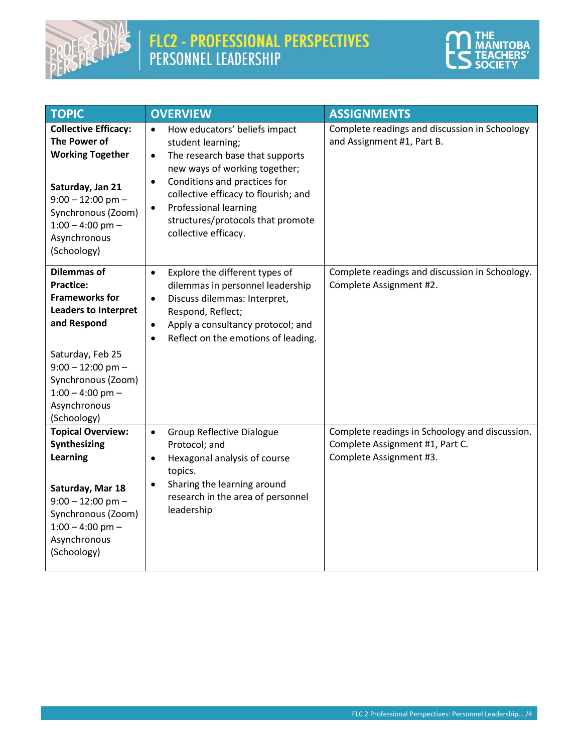

# FLC2 - PROFESSIONAL PERSPECTIVES<br>PERSONNEL LEADERSHIP



| <b>TOPIC</b>                                                                                                                                                                                                                        | <b>OVERVIEW</b>                                                                                                                                                                                                                                                                                                                                 | <b>ASSIGNMENTS</b>                                                                                           |
|-------------------------------------------------------------------------------------------------------------------------------------------------------------------------------------------------------------------------------------|-------------------------------------------------------------------------------------------------------------------------------------------------------------------------------------------------------------------------------------------------------------------------------------------------------------------------------------------------|--------------------------------------------------------------------------------------------------------------|
| <b>Collective Efficacy:</b><br><b>The Power of</b><br><b>Working Together</b><br>Saturday, Jan 21<br>$9:00 - 12:00$ pm -<br>Synchronous (Zoom)<br>$1:00 - 4:00$ pm -<br>Asynchronous<br>(Schoology)                                 | How educators' beliefs impact<br>$\bullet$<br>student learning;<br>The research base that supports<br>$\bullet$<br>new ways of working together;<br>Conditions and practices for<br>$\bullet$<br>collective efficacy to flourish; and<br><b>Professional learning</b><br>$\bullet$<br>structures/protocols that promote<br>collective efficacy. | Complete readings and discussion in Schoology<br>and Assignment #1, Part B.                                  |
| <b>Dilemmas of</b><br><b>Practice:</b><br><b>Frameworks for</b><br><b>Leaders to Interpret</b><br>and Respond<br>Saturday, Feb 25<br>$9:00 - 12:00$ pm -<br>Synchronous (Zoom)<br>$1:00 - 4:00$ pm -<br>Asynchronous<br>(Schoology) | Explore the different types of<br>$\bullet$<br>dilemmas in personnel leadership<br>Discuss dilemmas: Interpret,<br>$\bullet$<br>Respond, Reflect;<br>Apply a consultancy protocol; and<br>$\bullet$<br>Reflect on the emotions of leading.<br>$\bullet$                                                                                         | Complete readings and discussion in Schoology.<br>Complete Assignment #2.                                    |
| <b>Topical Overview:</b><br>Synthesizing<br><b>Learning</b><br>Saturday, Mar 18<br>$9:00 - 12:00$ pm -<br>Synchronous (Zoom)<br>$1:00 - 4:00$ pm -<br>Asynchronous<br>(Schoology)                                                   | Group Reflective Dialogue<br>$\bullet$<br>Protocol; and<br>Hexagonal analysis of course<br>$\bullet$<br>topics.<br>Sharing the learning around<br>$\bullet$<br>research in the area of personnel<br>leadership                                                                                                                                  | Complete readings in Schoology and discussion.<br>Complete Assignment #1, Part C.<br>Complete Assignment #3. |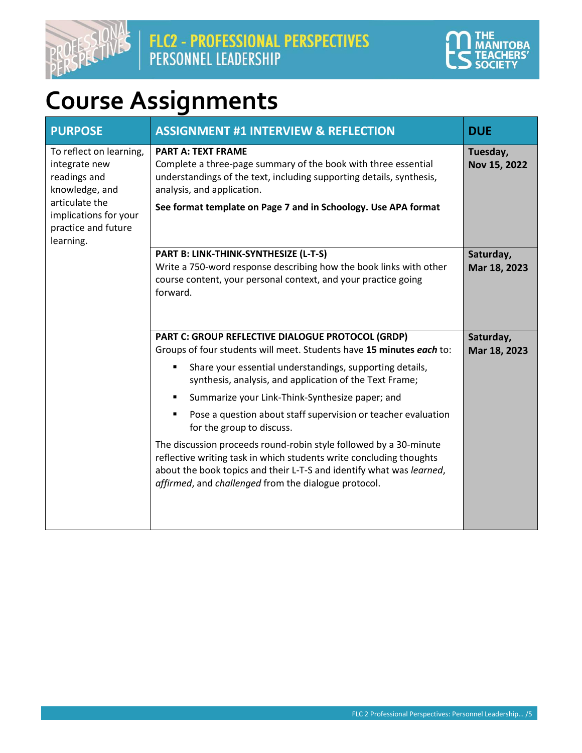



## **Course Assignments**

| <b>PURPOSE</b>                                                                                                                                            | <b>ASSIGNMENT #1 INTERVIEW &amp; REFLECTION</b>                                                                                                                                                                                                                          | <b>DUE</b>                |
|-----------------------------------------------------------------------------------------------------------------------------------------------------------|--------------------------------------------------------------------------------------------------------------------------------------------------------------------------------------------------------------------------------------------------------------------------|---------------------------|
| To reflect on learning,<br>integrate new<br>readings and<br>knowledge, and<br>articulate the<br>implications for your<br>practice and future<br>learning. | <b>PART A: TEXT FRAME</b><br>Complete a three-page summary of the book with three essential<br>understandings of the text, including supporting details, synthesis,<br>analysis, and application.<br>See format template on Page 7 and in Schoology. Use APA format      | Tuesday,<br>Nov 15, 2022  |
|                                                                                                                                                           | PART B: LINK-THINK-SYNTHESIZE (L-T-S)<br>Write a 750-word response describing how the book links with other<br>course content, your personal context, and your practice going<br>forward.                                                                                | Saturday,<br>Mar 18, 2023 |
|                                                                                                                                                           | PART C: GROUP REFLECTIVE DIALOGUE PROTOCOL (GRDP)<br>Groups of four students will meet. Students have 15 minutes each to:                                                                                                                                                | Saturday,<br>Mar 18, 2023 |
|                                                                                                                                                           | Share your essential understandings, supporting details,<br>٠<br>synthesis, analysis, and application of the Text Frame;                                                                                                                                                 |                           |
|                                                                                                                                                           | Summarize your Link-Think-Synthesize paper; and<br>٠                                                                                                                                                                                                                     |                           |
|                                                                                                                                                           | Pose a question about staff supervision or teacher evaluation<br>for the group to discuss.                                                                                                                                                                               |                           |
|                                                                                                                                                           | The discussion proceeds round-robin style followed by a 30-minute<br>reflective writing task in which students write concluding thoughts<br>about the book topics and their L-T-S and identify what was learned,<br>affirmed, and challenged from the dialogue protocol. |                           |